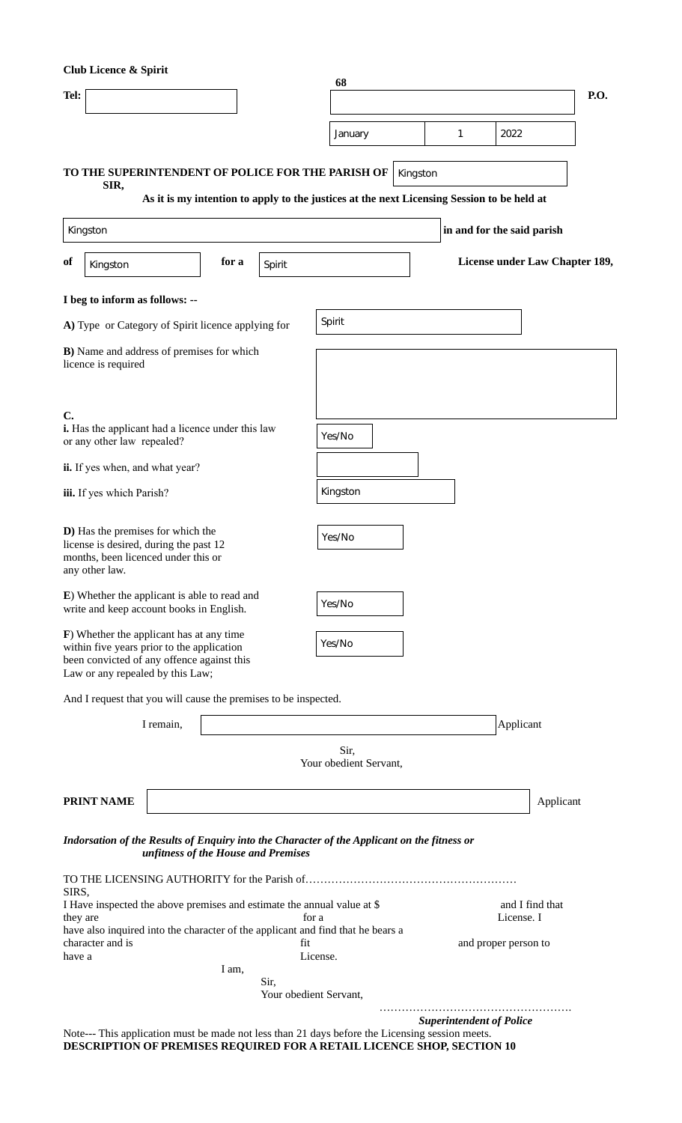| <b>Club Licence &amp; Spirit</b>                                                                                                                                         |                                                                                            |       |                                |                                |                               |                                               |                                 |                      |             |  |
|--------------------------------------------------------------------------------------------------------------------------------------------------------------------------|--------------------------------------------------------------------------------------------|-------|--------------------------------|--------------------------------|-------------------------------|-----------------------------------------------|---------------------------------|----------------------|-------------|--|
| Tel:                                                                                                                                                                     |                                                                                            |       |                                | 68                             |                               |                                               |                                 |                      | <b>P.O.</b> |  |
|                                                                                                                                                                          |                                                                                            |       |                                | January                        |                               | $\overline{1}$<br>$\blacktriangledown$ $\mid$ | $\blacktriangledown$<br>2022    | $\blacktriangledown$ |             |  |
|                                                                                                                                                                          |                                                                                            |       |                                |                                |                               |                                               |                                 |                      |             |  |
| TO THE SUPERINTENDENT OF POLICE FOR THE PARISH OF<br>SIR,                                                                                                                |                                                                                            |       |                                |                                | Kingston                      |                                               |                                 |                      |             |  |
|                                                                                                                                                                          | As it is my intention to apply to the justices at the next Licensing Session to be held at |       |                                |                                |                               |                                               |                                 |                      |             |  |
| Kingston                                                                                                                                                                 |                                                                                            |       |                                |                                |                               |                                               | in and for the said parish      |                      |             |  |
| оf<br>Kingston                                                                                                                                                           | $\blacktriangledown$                                                                       | for a | Spirit                         |                                |                               |                                               | License under Law Chapter 189,  |                      |             |  |
| I beg to inform as follows: --                                                                                                                                           |                                                                                            |       |                                |                                |                               |                                               |                                 |                      |             |  |
| A) Type or Category of Spirit licence applying for                                                                                                                       |                                                                                            |       |                                | Spirit                         |                               |                                               |                                 |                      |             |  |
| B) Name and address of premises for which<br>licence is required                                                                                                         |                                                                                            |       |                                |                                |                               |                                               |                                 |                      |             |  |
| $C$ .<br>i. Has the applicant had a licence under this law<br>or any other law repealed?                                                                                 |                                                                                            |       |                                | $Yes/No$ $\blacktriangledown$  |                               |                                               |                                 |                      |             |  |
| ii. If yes when, and what year?                                                                                                                                          |                                                                                            |       |                                |                                |                               |                                               |                                 |                      |             |  |
| iii. If yes which Parish?                                                                                                                                                |                                                                                            |       |                                | Kingston                       |                               |                                               |                                 |                      |             |  |
| D) Has the premises for which the<br>license is desired, during the past 12<br>months, been licenced under this or<br>any other law.                                     |                                                                                            |       |                                | Yes/No                         |                               |                                               |                                 |                      |             |  |
| E) Whether the applicant is able to read and<br>write and keep account books in English.                                                                                 |                                                                                            |       |                                | Yes/No                         |                               |                                               |                                 |                      |             |  |
| F) Whether the applicant has at any time<br>within five years prior to the application<br>been convicted of any offence against this<br>Law or any repealed by this Law; |                                                                                            |       |                                | Yes/No                         |                               |                                               |                                 |                      |             |  |
| And I request that you will cause the premises to be inspected.                                                                                                          |                                                                                            |       |                                |                                |                               |                                               |                                 |                      |             |  |
|                                                                                                                                                                          | I remain,                                                                                  |       |                                |                                |                               |                                               | Applicant                       |                      |             |  |
|                                                                                                                                                                          |                                                                                            |       |                                | Sir,<br>Your obedient Servant, |                               |                                               |                                 |                      |             |  |
| <b>PRINT NAME</b>                                                                                                                                                        |                                                                                            |       |                                |                                |                               |                                               |                                 | Applicant            |             |  |
| Indorsation of the Results of Enquiry into the Character of the Applicant on the fitness or                                                                              | unfitness of the House and Premises                                                        |       |                                |                                |                               |                                               |                                 |                      |             |  |
| SIRS,                                                                                                                                                                    |                                                                                            |       |                                |                                |                               |                                               |                                 |                      |             |  |
| I Have inspected the above premises and estimate the annual value at \$<br>they are                                                                                      | for a                                                                                      |       |                                |                                | and I find that<br>License. I |                                               |                                 |                      |             |  |
| have also inquired into the character of the applicant and find that he bears a<br>character and is<br>fit                                                               |                                                                                            |       |                                |                                |                               |                                               | and proper person to            |                      |             |  |
| have a                                                                                                                                                                   |                                                                                            | I am, |                                | License.                       |                               |                                               |                                 |                      |             |  |
|                                                                                                                                                                          |                                                                                            |       | Sir,<br>Your obedient Servant, |                                |                               |                                               |                                 |                      |             |  |
|                                                                                                                                                                          |                                                                                            |       |                                |                                |                               |                                               | <b>Superintendent of Police</b> |                      |             |  |
| Note--- This application must be made not less than 21 days before the Licensing session meets.                                                                          |                                                                                            |       |                                |                                |                               |                                               |                                 |                      |             |  |

**DESCRIPTION OF PREMISES REQUIRED FOR A RETAIL LICENCE SHOP, SECTION 10**